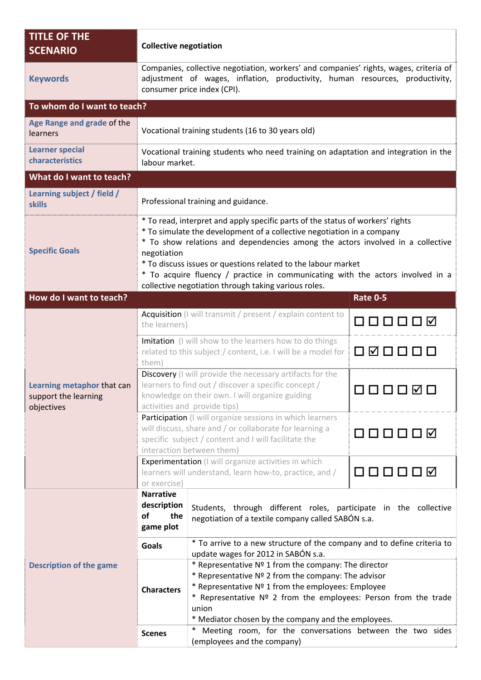| <b>TITLE OF THE</b><br><b>SCENARIO</b>                           |                                                                                                                                                                                                                                                                                                                                                                                                                                                                      | <b>Collective negotiation</b>                                                                                                                                                                                                                                                                        |                 |  |  |
|------------------------------------------------------------------|----------------------------------------------------------------------------------------------------------------------------------------------------------------------------------------------------------------------------------------------------------------------------------------------------------------------------------------------------------------------------------------------------------------------------------------------------------------------|------------------------------------------------------------------------------------------------------------------------------------------------------------------------------------------------------------------------------------------------------------------------------------------------------|-----------------|--|--|
| <b>Keywords</b>                                                  | Companies, collective negotiation, workers' and companies' rights, wages, criteria of<br>adjustment of wages, inflation, productivity, human resources, productivity,<br>consumer price index (CPI).                                                                                                                                                                                                                                                                 |                                                                                                                                                                                                                                                                                                      |                 |  |  |
| To whom do I want to teach?                                      |                                                                                                                                                                                                                                                                                                                                                                                                                                                                      |                                                                                                                                                                                                                                                                                                      |                 |  |  |
| Age Range and grade of the<br>learners                           | Vocational training students (16 to 30 years old)                                                                                                                                                                                                                                                                                                                                                                                                                    |                                                                                                                                                                                                                                                                                                      |                 |  |  |
| <b>Learner special</b><br>characteristics                        | Vocational training students who need training on adaptation and integration in the<br>labour market.                                                                                                                                                                                                                                                                                                                                                                |                                                                                                                                                                                                                                                                                                      |                 |  |  |
| What do I want to teach?                                         |                                                                                                                                                                                                                                                                                                                                                                                                                                                                      |                                                                                                                                                                                                                                                                                                      |                 |  |  |
| Learning subject / field /<br><b>skills</b>                      | Professional training and guidance.                                                                                                                                                                                                                                                                                                                                                                                                                                  |                                                                                                                                                                                                                                                                                                      |                 |  |  |
| <b>Specific Goals</b>                                            | * To read, interpret and apply specific parts of the status of workers' rights<br>* To simulate the development of a collective negotiation in a company<br>* To show relations and dependencies among the actors involved in a collective<br>negotiation<br>* To discuss issues or questions related to the labour market<br>* To acquire fluency / practice in communicating with the actors involved in a<br>collective negotiation through taking various roles. |                                                                                                                                                                                                                                                                                                      |                 |  |  |
| How do I want to teach?                                          |                                                                                                                                                                                                                                                                                                                                                                                                                                                                      |                                                                                                                                                                                                                                                                                                      | <b>Rate 0-5</b> |  |  |
| Learning metaphor that can<br>support the learning<br>objectives | Acquisition (I will transmit / present / explain content to<br>the learners)                                                                                                                                                                                                                                                                                                                                                                                         |                                                                                                                                                                                                                                                                                                      | ᄗᄗᄗᇚᇚᇅ          |  |  |
|                                                                  | Imitation (I will show to the learners how to do things<br>related to this subject / content, i.e. I will be a model for<br>them)                                                                                                                                                                                                                                                                                                                                    |                                                                                                                                                                                                                                                                                                      | ☑               |  |  |
|                                                                  | Discovery (I will provide the necessary artifacts for the<br>learners to find out / discover a specific concept /<br>knowledge on their own. I will organize guiding<br>- - - - - -<br>activities and provide tips)                                                                                                                                                                                                                                                  |                                                                                                                                                                                                                                                                                                      |                 |  |  |
|                                                                  | Participation (I will organize sessions in which learners<br>will discuss, share and / or collaborate for learning a<br>specific subject / content and I will facilitate the<br>interaction between them)                                                                                                                                                                                                                                                            |                                                                                                                                                                                                                                                                                                      | □□□□□○          |  |  |
|                                                                  | Experimentation (I will organize activities in which<br>learners will understand, learn how-to, practice, and /<br>or exercise)                                                                                                                                                                                                                                                                                                                                      |                                                                                                                                                                                                                                                                                                      | 0000<br>□ ☑     |  |  |
| <b>Description of the game</b>                                   | <b>Narrative</b><br>description<br>οf<br>the<br>game plot                                                                                                                                                                                                                                                                                                                                                                                                            | Students, through different roles, participate in the collective<br>negotiation of a textile company called SABÓN s.a.                                                                                                                                                                               |                 |  |  |
|                                                                  | * To arrive to a new structure of the company and to define criteria to<br><b>Goals</b><br>update wages for 2012 in SABÓN s.a.                                                                                                                                                                                                                                                                                                                                       |                                                                                                                                                                                                                                                                                                      |                 |  |  |
|                                                                  | <b>Characters</b>                                                                                                                                                                                                                                                                                                                                                                                                                                                    | * Representative Nº 1 from the company: The director<br>* Representative Nº 2 from the company: The advisor<br>* Representative Nº 1 from the employees: Employee<br>* Representative Nº 2 from the employees: Person from the trade<br>union<br>* Mediator chosen by the company and the employees. |                 |  |  |
|                                                                  | <b>Scenes</b>                                                                                                                                                                                                                                                                                                                                                                                                                                                        | Meeting room, for the conversations between the two sides<br>$^{\ast}$<br>(employees and the company)                                                                                                                                                                                                |                 |  |  |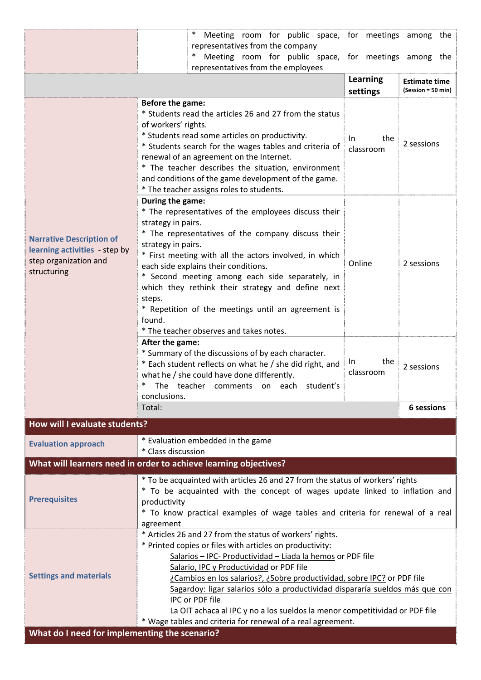|                                                                                                          | $\ast$<br>Meeting room for public space, for meetings among the                                                                                                                                                                                                                                                                                                                                                                                                                                                                                            |                                            |                                 |  |  |
|----------------------------------------------------------------------------------------------------------|------------------------------------------------------------------------------------------------------------------------------------------------------------------------------------------------------------------------------------------------------------------------------------------------------------------------------------------------------------------------------------------------------------------------------------------------------------------------------------------------------------------------------------------------------------|--------------------------------------------|---------------------------------|--|--|
|                                                                                                          | representatives from the company<br>Meeting room for public space, for meetings among the<br>∗<br>representatives from the employees                                                                                                                                                                                                                                                                                                                                                                                                                       |                                            |                                 |  |  |
|                                                                                                          | Learning<br>settings                                                                                                                                                                                                                                                                                                                                                                                                                                                                                                                                       | <b>Estimate time</b><br>(Session = 50 min) |                                 |  |  |
| <b>Narrative Description of</b><br>learning activities - step by<br>step organization and<br>structuring | Before the game:<br>* Students read the articles 26 and 27 from the status<br>of workers' rights.<br>* Students read some articles on productivity.<br>* Students search for the wages tables and criteria of<br>renewal of an agreement on the Internet.<br>* The teacher describes the situation, environment<br>and conditions of the game development of the game.<br>* The teacher assigns roles to students.                                                                                                                                         | the<br>In.<br>classroom                    | 2 sessions                      |  |  |
|                                                                                                          | During the game:<br>* The representatives of the employees discuss their<br>strategy in pairs.<br>* The representatives of the company discuss their<br>strategy in pairs.<br>* First meeting with all the actors involved, in which<br>each side explains their conditions.<br>* Second meeting among each side separately, in<br>which they rethink their strategy and define next<br>steps.<br>* Repetition of the meetings until an agreement is<br>found.<br>* The teacher observes and takes notes.                                                  | 2 sessions                                 |                                 |  |  |
|                                                                                                          | After the game:<br>* Summary of the discussions of by each character.<br>* Each student reflects on what he / she did right, and<br>what he / she could have done differently.<br>The teacher comments on each student's<br>conclusions.<br>Total:                                                                                                                                                                                                                                                                                                         | the<br>In.<br>classroom                    | 2 sessions<br><b>6 sessions</b> |  |  |
| How will I evaluate students?                                                                            |                                                                                                                                                                                                                                                                                                                                                                                                                                                                                                                                                            |                                            |                                 |  |  |
| <b>Evaluation approach</b>                                                                               | * Evaluation embedded in the game<br>* Class discussion                                                                                                                                                                                                                                                                                                                                                                                                                                                                                                    |                                            |                                 |  |  |
|                                                                                                          | What will learners need in order to achieve learning objectives?                                                                                                                                                                                                                                                                                                                                                                                                                                                                                           |                                            |                                 |  |  |
| <b>Prerequisites</b>                                                                                     | * To be acquainted with articles 26 and 27 from the status of workers' rights<br>* To be acquainted with the concept of wages update linked to inflation and<br>productivity<br>* To know practical examples of wage tables and criteria for renewal of a real<br>agreement                                                                                                                                                                                                                                                                                |                                            |                                 |  |  |
| <b>Settings and materials</b><br>What do I need for implementing the scenario?                           | * Articles 26 and 27 from the status of workers' rights.<br>* Printed copies or files with articles on productivity:<br>Salarios - IPC- Productividad - Liada la hemos or PDF file<br>Salario, IPC y Productividad or PDF file<br>¿Cambios en los salarios?, ¿Sobre productividad, sobre IPC? or PDF file<br>Sagardoy: ligar salarios sólo a productividad dispararía sueldos más que con<br>IPC or PDF file<br>La OIT achaca al IPC y no a los sueldos la menor competitividad or PDF file<br>* Wage tables and criteria for renewal of a real agreement. |                                            |                                 |  |  |